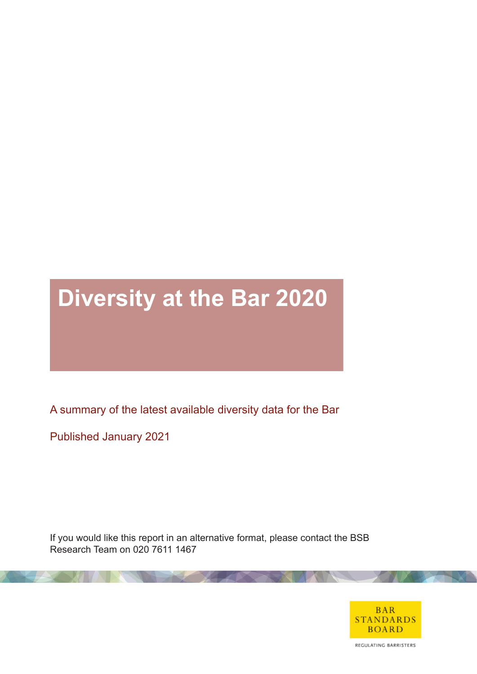# **Diversity at the Bar 2020**

A summary of the latest available diversity data for the Bar

Published January 2021

If you would like this report in an alternative format, please contact the BSB Research Team on 020 7611 1467

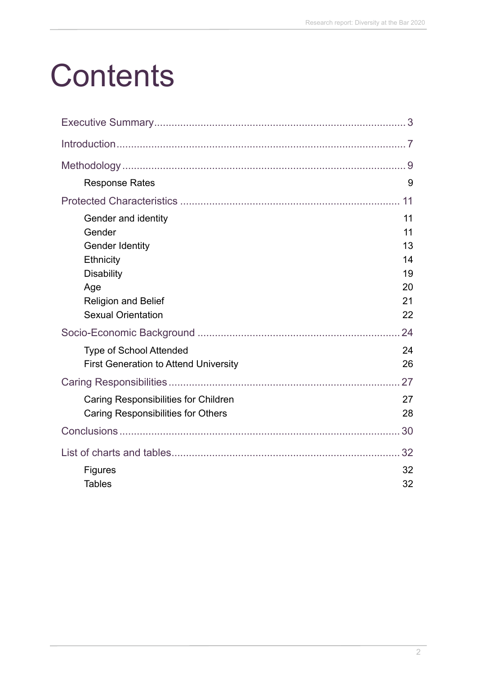# **Contents**

| <b>Response Rates</b>                                                               | 9                    |
|-------------------------------------------------------------------------------------|----------------------|
|                                                                                     | 11                   |
| Gender and identity<br>Gender<br><b>Gender Identity</b><br>Ethnicity                | 11<br>11<br>13<br>14 |
| <b>Disability</b><br>Age<br><b>Religion and Belief</b><br><b>Sexual Orientation</b> | 19<br>20<br>21<br>22 |
|                                                                                     | 24                   |
| <b>Type of School Attended</b><br><b>First Generation to Attend University</b>      | 24<br>26             |
|                                                                                     |                      |
| Caring Responsibilities for Children<br>Caring Responsibilities for Others          | 27<br>28             |
|                                                                                     | 30                   |
|                                                                                     |                      |
| <b>Figures</b><br><b>Tables</b>                                                     | 32<br>32             |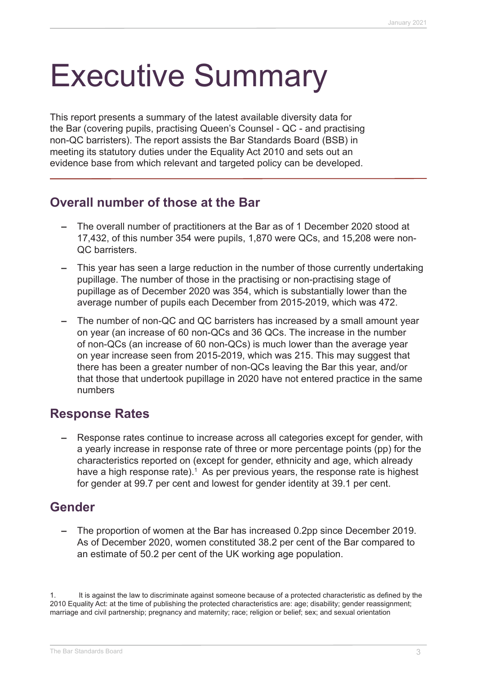# Executive Summary

This report presents a summary of the latest available diversity data for the Bar (covering pupils, practising Queen's Counsel - QC - and practising non-QC barristers). The report assists the Bar Standards Board (BSB) in meeting its statutory duties under the Equality Act 2010 and sets out an evidence base from which relevant and targeted policy can be developed.

### **Overall number of those at the Bar**

- **–** The overall number of practitioners at the Bar as of 1 December 2020 stood at 17,432, of this number 354 were pupils, 1,870 were QCs, and 15,208 were non-QC barristers.
- **–** This year has seen a large reduction in the number of those currently undertaking pupillage. The number of those in the practising or non-practising stage of pupillage as of December 2020 was 354, which is substantially lower than the average number of pupils each December from 2015-2019, which was 472.
- **–** The number of non-QC and QC barristers has increased by a small amount year on year (an increase of 60 non-QCs and 36 QCs. The increase in the number of non-QCs (an increase of 60 non-QCs) is much lower than the average year on year increase seen from 2015-2019, which was 215. This may suggest that there has been a greater number of non-QCs leaving the Bar this year, and/or that those that undertook pupillage in 2020 have not entered practice in the same numbers

### **Response Rates**

**–** Response rates continue to increase across all categories except for gender, with a yearly increase in response rate of three or more percentage points (pp) for the characteristics reported on (except for gender, ethnicity and age, which already have a high response rate).<sup>1</sup> As per previous years, the response rate is highest for gender at 99.7 per cent and lowest for gender identity at 39.1 per cent.

# **Gender**

**–** The proportion of women at the Bar has increased 0.2pp since December 2019. As of December 2020, women constituted 38.2 per cent of the Bar compared to an estimate of 50.2 per cent of the UK working age population.

It is against the law to discriminate against someone because of a protected characteristic as defined by the 2010 Equality Act: at the time of publishing the protected characteristics are: age; disability; gender reassignment; marriage and civil partnership; pregnancy and maternity; race; religion or belief; sex; and sexual orientation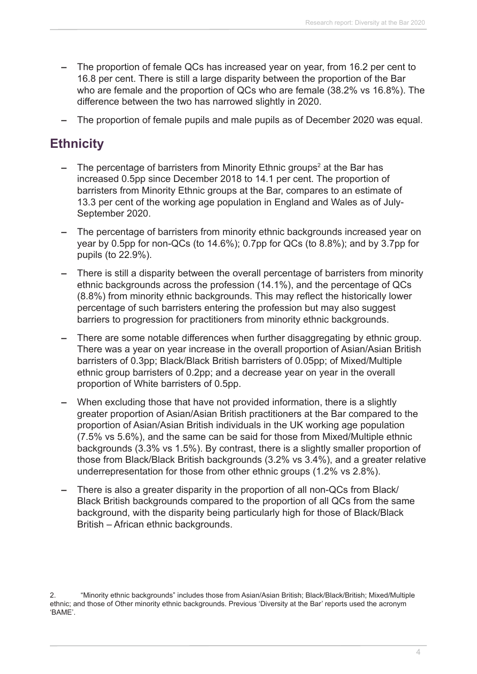- **–** The proportion of female QCs has increased year on year, from 16.2 per cent to 16.8 per cent. There is still a large disparity between the proportion of the Bar who are female and the proportion of QCs who are female (38.2% vs 16.8%). The difference between the two has narrowed slightly in 2020.
- **–** The proportion of female pupils and male pupils as of December 2020 was equal.

# **Ethnicity**

- **–** The percentage of barristers from Minority Ethnic groups<sup>2</sup> at the Bar has increased 0.5pp since December 2018 to 14.1 per cent. The proportion of barristers from Minority Ethnic groups at the Bar, compares to an estimate of 13.3 per cent of the working age population in England and Wales as of July-September 2020.
- **–** The percentage of barristers from minority ethnic backgrounds increased year on year by 0.5pp for non-QCs (to 14.6%); 0.7pp for QCs (to 8.8%); and by 3.7pp for pupils (to 22.9%).
- **–** There is still a disparity between the overall percentage of barristers from minority ethnic backgrounds across the profession (14.1%), and the percentage of QCs (8.8%) from minority ethnic backgrounds. This may reflect the historically lower percentage of such barristers entering the profession but may also suggest barriers to progression for practitioners from minority ethnic backgrounds.
- **–** There are some notable differences when further disaggregating by ethnic group. There was a year on year increase in the overall proportion of Asian/Asian British barristers of 0.3pp; Black/Black British barristers of 0.05pp; of Mixed/Multiple ethnic group barristers of 0.2pp; and a decrease year on year in the overall proportion of White barristers of 0.5pp.
- **–** When excluding those that have not provided information, there is a slightly greater proportion of Asian/Asian British practitioners at the Bar compared to the proportion of Asian/Asian British individuals in the UK working age population (7.5% vs 5.6%), and the same can be said for those from Mixed/Multiple ethnic backgrounds (3.3% vs 1.5%). By contrast, there is a slightly smaller proportion of those from Black/Black British backgrounds (3.2% vs 3.4%), and a greater relative underrepresentation for those from other ethnic groups (1.2% vs 2.8%).
- **–** There is also a greater disparity in the proportion of all non-QCs from Black/ Black British backgrounds compared to the proportion of all QCs from the same background, with the disparity being particularly high for those of Black/Black British – African ethnic backgrounds.

2. "Minority ethnic backgrounds" includes those from Asian/Asian British; Black/Black/British; Mixed/Multiple ethnic; and those of Other minority ethnic backgrounds. Previous 'Diversity at the Bar' reports used the acronym 'BAME'.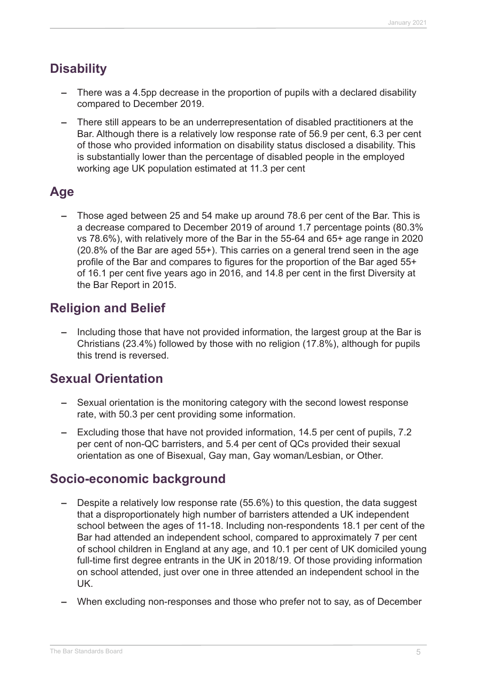# **Disability**

- **–** There was a 4.5pp decrease in the proportion of pupils with a declared disability compared to December 2019.
- **–** There still appears to be an underrepresentation of disabled practitioners at the Bar. Although there is a relatively low response rate of 56.9 per cent, 6.3 per cent of those who provided information on disability status disclosed a disability. This is substantially lower than the percentage of disabled people in the employed working age UK population estimated at 11.3 per cent

# **Age**

**–** Those aged between 25 and 54 make up around 78.6 per cent of the Bar. This is a decrease compared to December 2019 of around 1.7 percentage points (80.3% vs 78.6%), with relatively more of the Bar in the 55-64 and 65+ age range in 2020 (20.8% of the Bar are aged 55+). This carries on a general trend seen in the age profile of the Bar and compares to figures for the proportion of the Bar aged 55+ of 16.1 per cent five years ago in 2016, and 14.8 per cent in the first Diversity at the Bar Report in 2015.

# **Religion and Belief**

**–** Including those that have not provided information, the largest group at the Bar is Christians (23.4%) followed by those with no religion (17.8%), although for pupils this trend is reversed.

# **Sexual Orientation**

- **–** Sexual orientation is the monitoring category with the second lowest response rate, with 50.3 per cent providing some information.
- **–** Excluding those that have not provided information, 14.5 per cent of pupils, 7.2 per cent of non-QC barristers, and 5.4 per cent of QCs provided their sexual orientation as one of Bisexual, Gay man, Gay woman/Lesbian, or Other.

# **Socio-economic background**

- **–** Despite a relatively low response rate (55.6%) to this question, the data suggest that a disproportionately high number of barristers attended a UK independent school between the ages of 11-18. Including non-respondents 18.1 per cent of the Bar had attended an independent school, compared to approximately 7 per cent of school children in England at any age, and 10.1 per cent of UK domiciled young full-time first degree entrants in the UK in 2018/19. Of those providing information on school attended, just over one in three attended an independent school in the UK.
- **–** When excluding non-responses and those who prefer not to say, as of December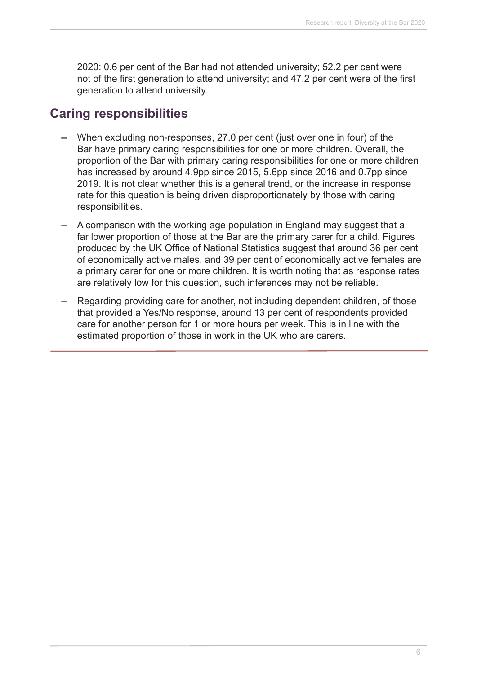2020: 0.6 per cent of the Bar had not attended university; 52.2 per cent were not of the first generation to attend university; and 47.2 per cent were of the first generation to attend university.

### **Caring responsibilities**

- **–** When excluding non-responses, 27.0 per cent (just over one in four) of the Bar have primary caring responsibilities for one or more children. Overall, the proportion of the Bar with primary caring responsibilities for one or more children has increased by around 4.9pp since 2015, 5.6pp since 2016 and 0.7pp since 2019. It is not clear whether this is a general trend, or the increase in response rate for this question is being driven disproportionately by those with caring responsibilities.
- **–** A comparison with the working age population in England may suggest that a far lower proportion of those at the Bar are the primary carer for a child. Figures produced by the UK Office of National Statistics suggest that around 36 per cent of economically active males, and 39 per cent of economically active females are a primary carer for one or more children. It is worth noting that as response rates are relatively low for this question, such inferences may not be reliable.
- **–** Regarding providing care for another, not including dependent children, of those that provided a Yes/No response, around 13 per cent of respondents provided care for another person for 1 or more hours per week. This is in line with the estimated proportion of those in work in the UK who are carers.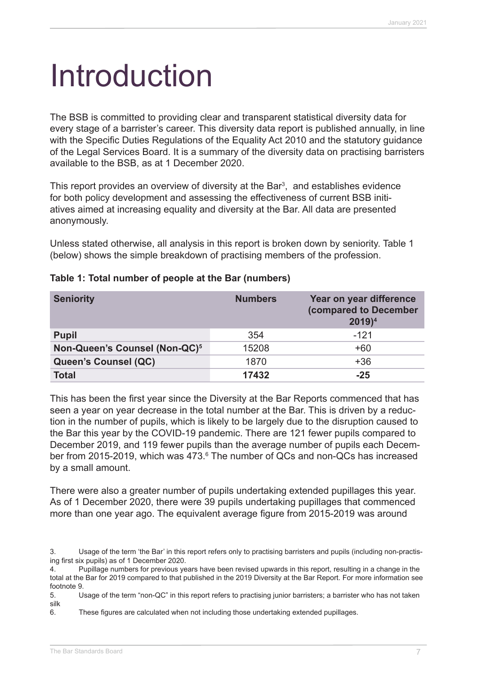# Introduction

The BSB is committed to providing clear and transparent statistical diversity data for every stage of a barrister's career. This diversity data report is published annually, in line with the Specific Duties Regulations of the Equality Act 2010 and the statutory guidance of the Legal Services Board. It is a summary of the diversity data on practising barristers available to the BSB, as at 1 December 2020.

This report provides an overview of diversity at the Bar<sup>3</sup>, and establishes evidence for both policy development and assessing the effectiveness of current BSB initiatives aimed at increasing equality and diversity at the Bar. All data are presented anonymously.

Unless stated otherwise, all analysis in this report is broken down by seniority. Table 1 (below) shows the simple breakdown of practising members of the profession.

| <b>Seniority</b>                          | <b>Numbers</b> | Year on year difference<br>(compared to December<br>$2019)^4$ |
|-------------------------------------------|----------------|---------------------------------------------------------------|
| <b>Pupil</b>                              | 354            | $-121$                                                        |
| Non-Queen's Counsel (Non-QC) <sup>5</sup> | 15208          | $+60$                                                         |
| <b>Queen's Counsel (QC)</b>               | 1870           | $+36$                                                         |
| <b>Total</b>                              | 17432          | $-25$                                                         |

#### **Table 1: Total number of people at the Bar (numbers)**

This has been the first year since the Diversity at the Bar Reports commenced that has seen a year on year decrease in the total number at the Bar. This is driven by a reduction in the number of pupils, which is likely to be largely due to the disruption caused to the Bar this year by the COVID-19 pandemic. There are 121 fewer pupils compared to December 2019, and 119 fewer pupils than the average number of pupils each December from 2015-2019, which was 473.<sup>6</sup> The number of QCs and non-QCs has increased by a small amount.

There were also a greater number of pupils undertaking extended pupillages this year. As of 1 December 2020, there were 39 pupils undertaking pupillages that commenced more than one year ago. The equivalent average figure from 2015-2019 was around

<sup>3.</sup> Usage of the term 'the Bar' in this report refers only to practising barristers and pupils (including non-practising first six pupils) as of 1 December 2020.

<sup>4.</sup> Pupillage numbers for previous years have been revised upwards in this report, resulting in a change in the total at the Bar for 2019 compared to that published in the 2019 Diversity at the Bar Report. For more information see footnote 9.

<sup>5.</sup> Usage of the term "non-QC" in this report refers to practising junior barristers; a barrister who has not taken silk

<sup>6.</sup>  These figures are calculated when not including those undertaking extended pupillages.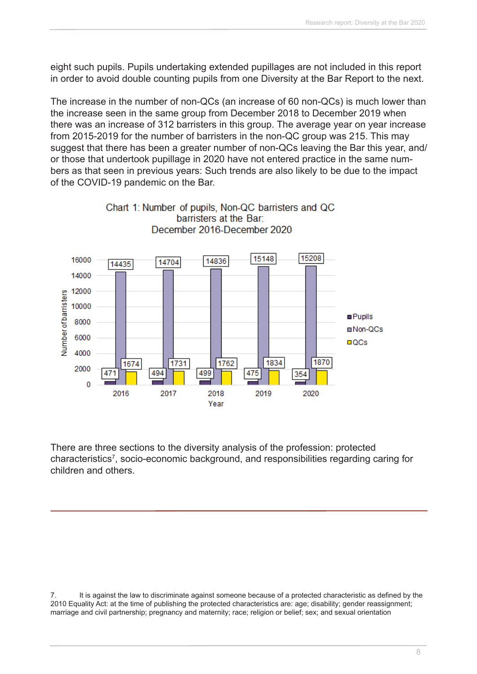eight such pupils. Pupils undertaking extended pupillages are not included in this report in order to avoid double counting pupils from one Diversity at the Bar Report to the next.

The increase in the number of non-QCs (an increase of 60 non-QCs) is much lower than the increase seen in the same group from December 2018 to December 2019 when there was an increase of 312 barristers in this group. The average year on year increase from 2015-2019 for the number of barristers in the non-QC group was 215. This may suggest that there has been a greater number of non-QCs leaving the Bar this year, and/ or those that undertook pupillage in 2020 have not entered practice in the same numbers as that seen in previous years: Such trends are also likely to be due to the impact of the COVID-19 pandemic on the Bar.



There are three sections to the diversity analysis of the profession: protected characteristics<sup>7</sup>, socio-economic background, and responsibilities regarding caring for children and others.

7. It is against the law to discriminate against someone because of a protected characteristic as defined by the 2010 Equality Act: at the time of publishing the protected characteristics are: age; disability; gender reassignment; marriage and civil partnership; pregnancy and maternity; race; religion or belief; sex; and sexual orientation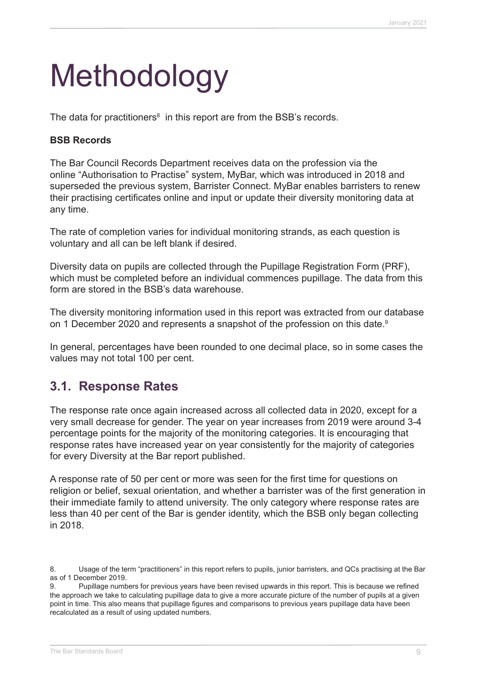# Methodology

The data for practitioners $^8$  in this report are from the BSB's records.

#### **BSB Records**

The Bar Council Records Department receives data on the profession via the online "Authorisation to Practise" system, MyBar, which was introduced in 2018 and superseded the previous system, Barrister Connect. MyBar enables barristers to renew their practising certificates online and input or update their diversity monitoring data at any time.

The rate of completion varies for individual monitoring strands, as each question is voluntary and all can be left blank if desired.

Diversity data on pupils are collected through the Pupillage Registration Form (PRF), which must be completed before an individual commences pupillage. The data from this form are stored in the BSB's data warehouse.

The diversity monitoring information used in this report was extracted from our database on 1 December 2020 and represents a snapshot of the profession on this date.<sup>9</sup>

In general, percentages have been rounded to one decimal place, so in some cases the values may not total 100 per cent.

### **3.1. Response Rates**

The response rate once again increased across all collected data in 2020, except for a very small decrease for gender. The year on year increases from 2019 were around 3-4 percentage points for the majority of the monitoring categories. It is encouraging that response rates have increased year on year consistently for the majority of categories for every Diversity at the Bar report published.

A response rate of 50 per cent or more was seen for the first time for questions on religion or belief, sexual orientation, and whether a barrister was of the first generation in their immediate family to attend university. The only category where response rates are less than 40 per cent of the Bar is gender identity, which the BSB only began collecting in 2018.

<sup>8.</sup> Usage of the term "practitioners" in this report refers to pupils, junior barristers, and QCs practising at the Bar as of 1 December 2019.

<sup>9.</sup>  Pupillage numbers for previous years have been revised upwards in this report. This is because we refined the approach we take to calculating pupillage data to give a more accurate picture of the number of pupils at a given point in time. This also means that pupillage figures and comparisons to previous years pupillage data have been recalculated as a result of using updated numbers.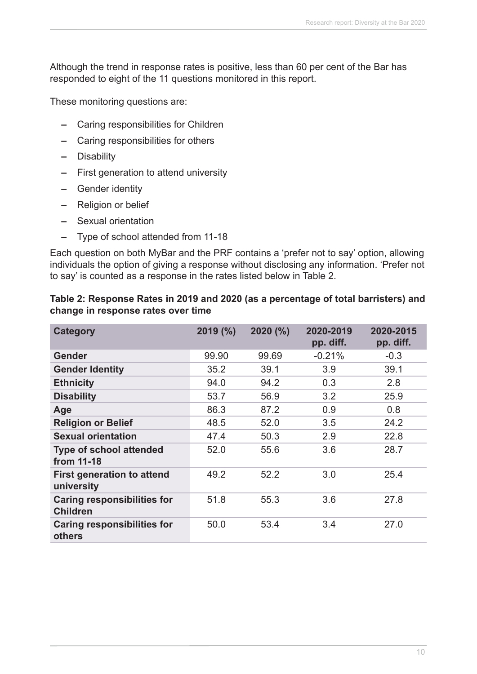Although the trend in response rates is positive, less than 60 per cent of the Bar has responded to eight of the 11 questions monitored in this report.

These monitoring questions are:

- **–** Caring responsibilities for Children
- **–** Caring responsibilities for others
- **–** Disability
- **–** First generation to attend university
- **–** Gender identity
- **–** Religion or belief
- **–** Sexual orientation
- **–** Type of school attended from 11-18

Each question on both MyBar and the PRF contains a 'prefer not to say' option, allowing individuals the option of giving a response without disclosing any information. 'Prefer not to say' is counted as a response in the rates listed below in Table 2.

| Table 2: Response Rates in 2019 and 2020 (as a percentage of total barristers) and |  |
|------------------------------------------------------------------------------------|--|
| change in response rates over time                                                 |  |

| <b>Category</b>                                       | 2019(%) | 2020(%) | 2020-2019<br>pp. diff. | 2020-2015<br>pp. diff. |
|-------------------------------------------------------|---------|---------|------------------------|------------------------|
| <b>Gender</b>                                         | 99.90   | 99.69   | $-0.21%$               | $-0.3$                 |
| <b>Gender Identity</b>                                | 35.2    | 39.1    | 3.9                    | 39.1                   |
| <b>Ethnicity</b>                                      | 94.0    | 94.2    | 0.3                    | 2.8                    |
| <b>Disability</b>                                     | 53.7    | 56.9    | 3.2                    | 25.9                   |
| Age                                                   | 86.3    | 87.2    | 0.9                    | 0.8                    |
| <b>Religion or Belief</b>                             | 48.5    | 52.0    | 3.5                    | 24.2                   |
| <b>Sexual orientation</b>                             | 47.4    | 50.3    | 2.9                    | 22.8                   |
| <b>Type of school attended</b><br>from 11-18          | 52.0    | 55.6    | 3.6                    | 28.7                   |
| <b>First generation to attend</b><br>university       | 49.2    | 52.2    | 3.0                    | 25.4                   |
| <b>Caring responsibilities for</b><br><b>Children</b> | 51.8    | 55.3    | 3.6                    | 27.8                   |
| <b>Caring responsibilities for</b><br>others          | 50.0    | 53.4    | 3.4                    | 27.0                   |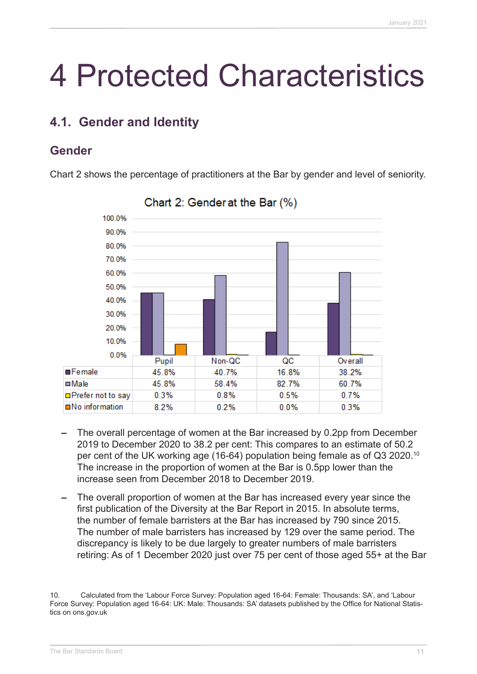# 4 Protected Characteristics

# **4.1. Gender and Identity**

# **Gender**

Chart 2 shows the percentage of practitioners at the Bar by gender and level of seniority.



### Chart 2: Gender at the Bar (%)

- **–** The overall percentage of women at the Bar increased by 0.2pp from December 2019 to December 2020 to 38.2 per cent: This compares to an estimate of 50.2 per cent of the UK working age (16-64) population being female as of Q3 2020.10 The increase in the proportion of women at the Bar is 0.5pp lower than the increase seen from December 2018 to December 2019.
- **–** The overall proportion of women at the Bar has increased every year since the first publication of the Diversity at the Bar Report in 2015. In absolute terms, the number of female barristers at the Bar has increased by 790 since 2015. The number of male barristers has increased by 129 over the same period. The discrepancy is likely to be due largely to greater numbers of male barristers retiring: As of 1 December 2020 just over 75 per cent of those aged 55+ at the Bar

<sup>10.</sup> Calculated from the 'Labour Force Survey: Population aged 16-64: Female: Thousands: SA', and 'Labour Force Survey: Population aged 16-64: UK: Male: Thousands: SA' datasets published by the Office for National Statistics on ons.gov.uk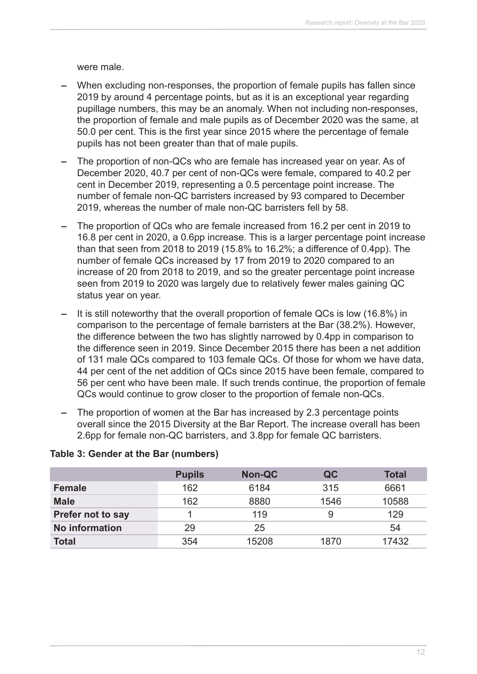were male.

- **–** When excluding non-responses, the proportion of female pupils has fallen since 2019 by around 4 percentage points, but as it is an exceptional year regarding pupillage numbers, this may be an anomaly. When not including non-responses, the proportion of female and male pupils as of December 2020 was the same, at 50.0 per cent. This is the first year since 2015 where the percentage of female pupils has not been greater than that of male pupils.
- **–** The proportion of non-QCs who are female has increased year on year. As of December 2020, 40.7 per cent of non-QCs were female, compared to 40.2 per cent in December 2019, representing a 0.5 percentage point increase. The number of female non-QC barristers increased by 93 compared to December 2019, whereas the number of male non-QC barristers fell by 58.
- **–** The proportion of QCs who are female increased from 16.2 per cent in 2019 to 16.8 per cent in 2020, a 0.6pp increase. This is a larger percentage point increase than that seen from 2018 to 2019 (15.8% to 16.2%; a difference of 0.4pp). The number of female QCs increased by 17 from 2019 to 2020 compared to an increase of 20 from 2018 to 2019, and so the greater percentage point increase seen from 2019 to 2020 was largely due to relatively fewer males gaining QC status year on year.
- **–** It is still noteworthy that the overall proportion of female QCs is low (16.8%) in comparison to the percentage of female barristers at the Bar (38.2%). However, the difference between the two has slightly narrowed by 0.4pp in comparison to the difference seen in 2019. Since December 2015 there has been a net addition of 131 male QCs compared to 103 female QCs. Of those for whom we have data, 44 per cent of the net addition of QCs since 2015 have been female, compared to 56 per cent who have been male. If such trends continue, the proportion of female QCs would continue to grow closer to the proportion of female non-QCs.
- **–** The proportion of women at the Bar has increased by 2.3 percentage points overall since the 2015 Diversity at the Bar Report. The increase overall has been 2.6pp for female non-QC barristers, and 3.8pp for female QC barristers.

|                          | <b>Pupils</b> | <b>Non-QC</b> | QC   | <b>Total</b> |
|--------------------------|---------------|---------------|------|--------------|
| <b>Female</b>            | 162           | 6184          | 315  | 6661         |
| <b>Male</b>              | 162           | 8880          | 1546 | 10588        |
| <b>Prefer not to say</b> |               | 119           | 9    | 129          |
| No information           | 29            | 25            |      | 54           |
| <b>Total</b>             | 354           | 15208         | 1870 | 17432        |

#### **Table 3: Gender at the Bar (numbers)**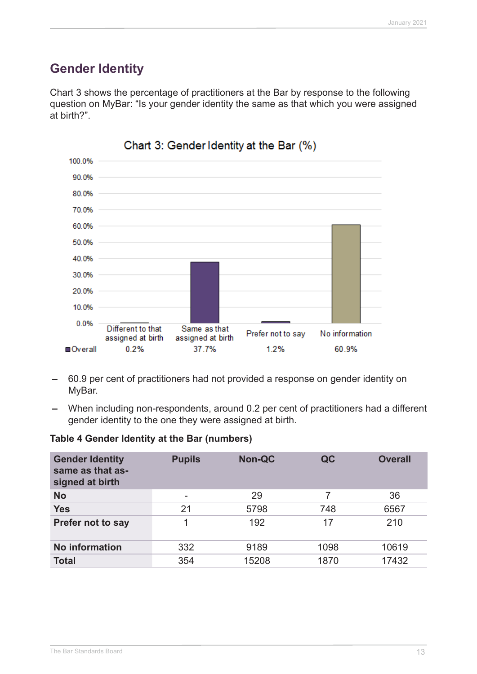# **Gender Identity**

Chart 3 shows the percentage of practitioners at the Bar by response to the following question on MyBar: "Is your gender identity the same as that which you were assigned at birth?".



- **–** 60.9 per cent of practitioners had not provided a response on gender identity on MyBar.
- **–** When including non-respondents, around 0.2 per cent of practitioners had a different gender identity to the one they were assigned at birth.

#### **Table 4 Gender Identity at the Bar (numbers)**

| <b>Gender Identity</b><br>same as that as-<br>signed at birth | <b>Pupils</b>            | <b>Non-QC</b> | QC   | <b>Overall</b> |
|---------------------------------------------------------------|--------------------------|---------------|------|----------------|
| <b>No</b>                                                     | $\overline{\phantom{a}}$ | 29            | 7    | 36             |
| <b>Yes</b>                                                    | 21                       | 5798          | 748  | 6567           |
| <b>Prefer not to say</b>                                      | 1                        | 192           | 17   | 210            |
| No information                                                | 332                      | 9189          | 1098 | 10619          |
| <b>Total</b>                                                  | 354                      | 15208         | 1870 | 17432          |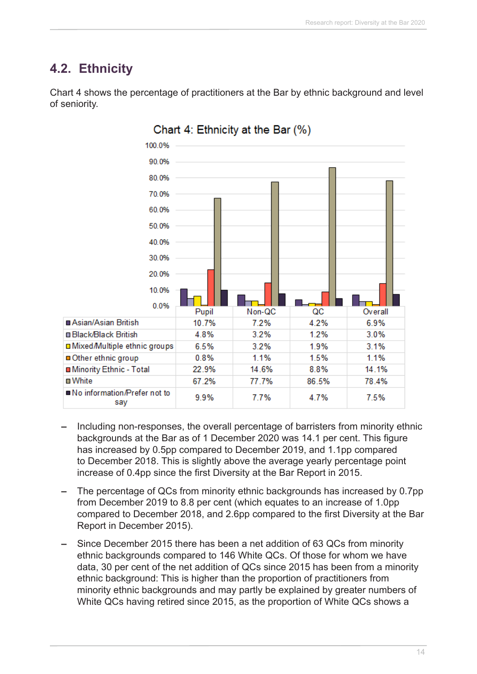# **4.2. Ethnicity**

of seniority.

100.0% 90.0% 80.0% 70.0% 60.0% 50.0% 40.0% 30.0% 20.0% 10.0% 0.0% Non-QC QC Pupil Overall Asian/Asian British  $7.2%$ 4.2% 6.9% 10.7% □ Black/Black British 3.2% 1.2% 3.0% 4.8% □ Mixed/Multiple ethnic groups 6.5% 3.2% 1.9% 3.1% □ Other ethnic group  $0.8%$ 1.1% 1.5% 1 1% Minority Ethnic - Total 22.9% 14.6% 8.8% 14.1% **□** White 67.2% 77.7% 86.5% 78.4% ■ No information/Prefer not to 9.9% 7.7% 4.7% 7.5% say

Chart 4: Ethnicity at the Bar (%)

Chart 4 shows the percentage of practitioners at the Bar by ethnic background and level

- **–** Including non-responses, the overall percentage of barristers from minority ethnic backgrounds at the Bar as of 1 December 2020 was 14.1 per cent. This figure has increased by 0.5pp compared to December 2019, and 1.1pp compared to December 2018. This is slightly above the average yearly percentage point increase of 0.4pp since the first Diversity at the Bar Report in 2015.
- **–** The percentage of QCs from minority ethnic backgrounds has increased by 0.7pp from December 2019 to 8.8 per cent (which equates to an increase of 1.0pp compared to December 2018, and 2.6pp compared to the first Diversity at the Bar Report in December 2015).
- **–** Since December 2015 there has been a net addition of 63 QCs from minority ethnic backgrounds compared to 146 White QCs. Of those for whom we have data, 30 per cent of the net addition of QCs since 2015 has been from a minority ethnic background: This is higher than the proportion of practitioners from minority ethnic backgrounds and may partly be explained by greater numbers of White QCs having retired since 2015, as the proportion of White QCs shows a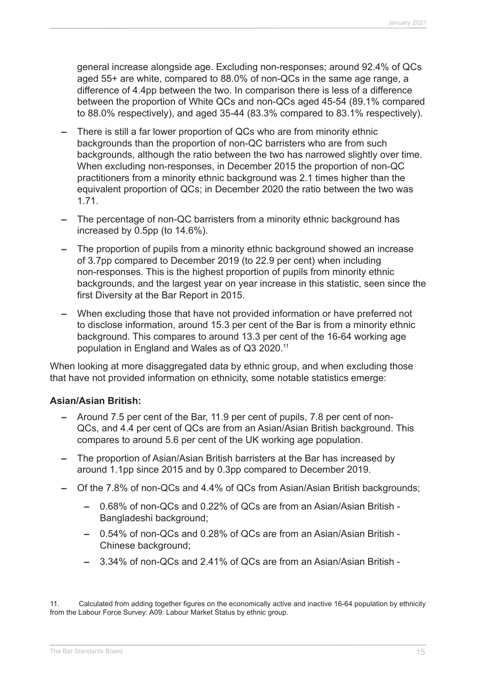general increase alongside age. Excluding non-responses; around 92.4% of QCs aged 55+ are white, compared to 88.0% of non-QCs in the same age range, a difference of 4.4pp between the two. In comparison there is less of a difference between the proportion of White QCs and non-QCs aged 45-54 (89.1% compared to 88.0% respectively), and aged 35-44 (83.3% compared to 83.1% respectively).

- **–** There is still a far lower proportion of QCs who are from minority ethnic backgrounds than the proportion of non-QC barristers who are from such backgrounds, although the ratio between the two has narrowed slightly over time. When excluding non-responses, in December 2015 the proportion of non-QC practitioners from a minority ethnic background was 2.1 times higher than the equivalent proportion of QCs; in December 2020 the ratio between the two was 1.71.
- **–** The percentage of non-QC barristers from a minority ethnic background has increased by 0.5pp (to 14.6%).
- **–** The proportion of pupils from a minority ethnic background showed an increase of 3.7pp compared to December 2019 (to 22.9 per cent) when including non-responses. This is the highest proportion of pupils from minority ethnic backgrounds, and the largest year on year increase in this statistic, seen since the first Diversity at the Bar Report in 2015.
- **–** When excluding those that have not provided information or have preferred not to disclose information, around 15.3 per cent of the Bar is from a minority ethnic background. This compares to around 13.3 per cent of the 16-64 working age population in England and Wales as of Q3 2020.11

When looking at more disaggregated data by ethnic group, and when excluding those that have not provided information on ethnicity, some notable statistics emerge:

#### **Asian/Asian British:**

- **–** Around 7.5 per cent of the Bar, 11.9 per cent of pupils, 7.8 per cent of non-QCs, and 4.4 per cent of QCs are from an Asian/Asian British background. This compares to around 5.6 per cent of the UK working age population.
- **–** The proportion of Asian/Asian British barristers at the Bar has increased by around 1.1pp since 2015 and by 0.3pp compared to December 2019.
- **–** Of the 7.8% of non-QCs and 4.4% of QCs from Asian/Asian British backgrounds;
	- **–** 0.68% of non-QCs and 0.22% of QCs are from an Asian/Asian British Bangladeshi background;
	- **–** 0.54% of non-QCs and 0.28% of QCs are from an Asian/Asian British Chinese background;
	- **–** 3.34% of non-QCs and 2.41% of QCs are from an Asian/Asian British -

11. Calculated from adding together figures on the economically active and inactive 16-64 population by ethnicity from the Labour Force Survey: A09: Labour Market Status by ethnic group.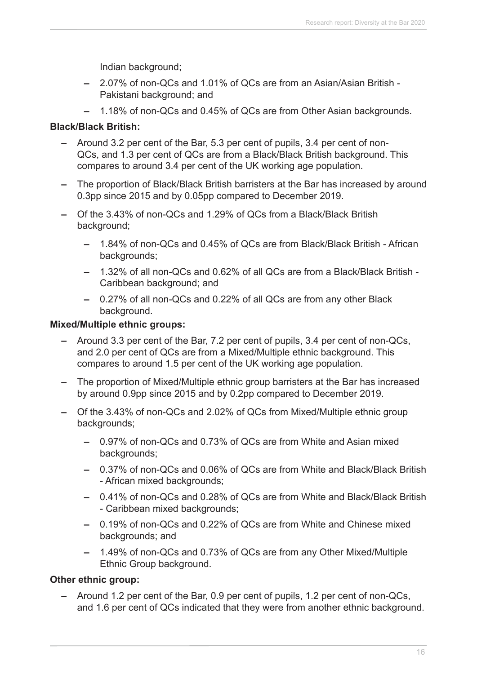Indian background;

- **–** 2.07% of non-QCs and 1.01% of QCs are from an Asian/Asian British Pakistani background; and
- **–** 1.18% of non-QCs and 0.45% of QCs are from Other Asian backgrounds.

#### **Black/Black British:**

- **–** Around 3.2 per cent of the Bar, 5.3 per cent of pupils, 3.4 per cent of non-QCs, and 1.3 per cent of QCs are from a Black/Black British background. This compares to around 3.4 per cent of the UK working age population.
- **–** The proportion of Black/Black British barristers at the Bar has increased by around 0.3pp since 2015 and by 0.05pp compared to December 2019.
- **–** Of the 3.43% of non-QCs and 1.29% of QCs from a Black/Black British background;
	- **–** 1.84% of non-QCs and 0.45% of QCs are from Black/Black British African backgrounds;
	- **–** 1.32% of all non-QCs and 0.62% of all QCs are from a Black/Black British Caribbean background; and
	- **–** 0.27% of all non-QCs and 0.22% of all QCs are from any other Black background.

#### **Mixed/Multiple ethnic groups:**

- **–** Around 3.3 per cent of the Bar, 7.2 per cent of pupils, 3.4 per cent of non-QCs, and 2.0 per cent of QCs are from a Mixed/Multiple ethnic background. This compares to around 1.5 per cent of the UK working age population.
- **–** The proportion of Mixed/Multiple ethnic group barristers at the Bar has increased by around 0.9pp since 2015 and by 0.2pp compared to December 2019.
- **–** Of the 3.43% of non-QCs and 2.02% of QCs from Mixed/Multiple ethnic group backgrounds;
	- **–** 0.97% of non-QCs and 0.73% of QCs are from White and Asian mixed backgrounds;
	- **–** 0.37% of non-QCs and 0.06% of QCs are from White and Black/Black British - African mixed backgrounds;
	- **–** 0.41% of non-QCs and 0.28% of QCs are from White and Black/Black British - Caribbean mixed backgrounds;
	- **–** 0.19% of non-QCs and 0.22% of QCs are from White and Chinese mixed backgrounds; and
	- **–** 1.49% of non-QCs and 0.73% of QCs are from any Other Mixed/Multiple Ethnic Group background.

#### **Other ethnic group:**

**–** Around 1.2 per cent of the Bar, 0.9 per cent of pupils, 1.2 per cent of non-QCs, and 1.6 per cent of QCs indicated that they were from another ethnic background.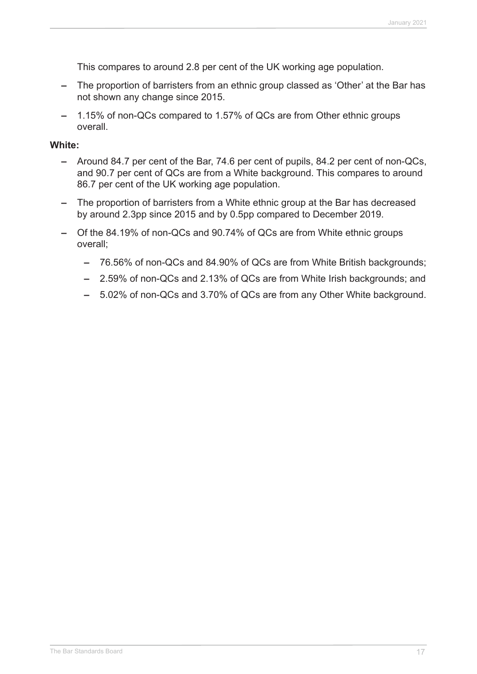This compares to around 2.8 per cent of the UK working age population.

- **–** The proportion of barristers from an ethnic group classed as 'Other' at the Bar has not shown any change since 2015.
- **–** 1.15% of non-QCs compared to 1.57% of QCs are from Other ethnic groups overall.

#### **White:**

- **–** Around 84.7 per cent of the Bar, 74.6 per cent of pupils, 84.2 per cent of non-QCs, and 90.7 per cent of QCs are from a White background. This compares to around 86.7 per cent of the UK working age population.
- **–** The proportion of barristers from a White ethnic group at the Bar has decreased by around 2.3pp since 2015 and by 0.5pp compared to December 2019.
- **–** Of the 84.19% of non-QCs and 90.74% of QCs are from White ethnic groups overall;
	- **–** 76.56% of non-QCs and 84.90% of QCs are from White British backgrounds;
	- **–** 2.59% of non-QCs and 2.13% of QCs are from White Irish backgrounds; and
	- **–** 5.02% of non-QCs and 3.70% of QCs are from any Other White background.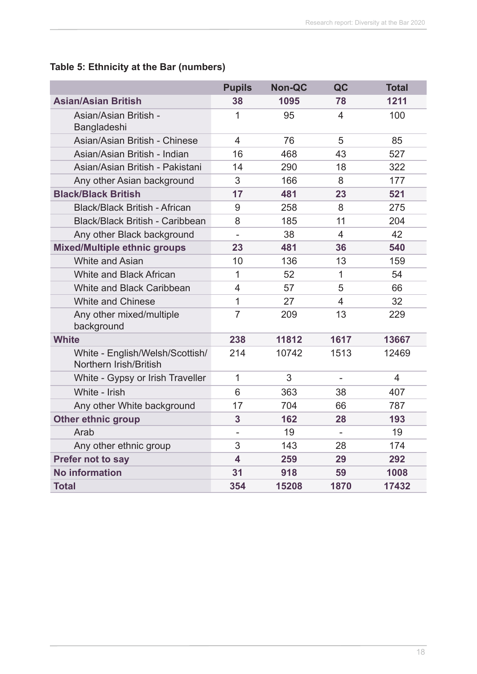#### **Table 5: Ethnicity at the Bar (numbers)**

|                                                           | <b>Pupils</b>            | <b>Non-QC</b> | QC                       | <b>Total</b>   |
|-----------------------------------------------------------|--------------------------|---------------|--------------------------|----------------|
| <b>Asian/Asian British</b>                                | 38                       | 1095          | 78                       | 1211           |
| Asian/Asian British -<br>Bangladeshi                      | 1                        | 95            | 4                        | 100            |
| Asian/Asian British - Chinese                             | $\overline{4}$           | 76            | 5                        | 85             |
| Asian/Asian British - Indian                              | 16                       | 468           | 43                       | 527            |
| Asian/Asian British - Pakistani                           | 14                       | 290           | 18                       | 322            |
| Any other Asian background                                | 3                        | 166           | 8                        | 177            |
| <b>Black/Black British</b>                                | 17                       | 481           | 23                       | 521            |
| <b>Black/Black British - African</b>                      | 9                        | 258           | 8                        | 275            |
| <b>Black/Black British - Caribbean</b>                    | 8                        | 185           | 11                       | 204            |
| Any other Black background                                | $\overline{a}$           | 38            | $\overline{4}$           | 42             |
| <b>Mixed/Multiple ethnic groups</b>                       | 23                       | 481           | 36                       | 540            |
| White and Asian                                           | 10                       | 136           | 13                       | 159            |
| White and Black African                                   | $\mathbf{1}$             | 52            | 1                        | 54             |
| White and Black Caribbean                                 | $\overline{4}$           | 57            | 5                        | 66             |
| <b>White and Chinese</b>                                  | $\mathbf 1$              | 27            | $\overline{4}$           | 32             |
| Any other mixed/multiple<br>background                    | $\overline{7}$           | 209           | 13                       | 229            |
| <b>White</b>                                              | 238                      | 11812         | 1617                     | 13667          |
| White - English/Welsh/Scottish/<br>Northern Irish/British | 214                      | 10742         | 1513                     | 12469          |
| White - Gypsy or Irish Traveller                          | $\overline{1}$           | 3             | $\overline{\phantom{a}}$ | $\overline{4}$ |
| White - Irish                                             | 6                        | 363           | 38                       | 407            |
| Any other White background                                | 17                       | 704           | 66                       | 787            |
| <b>Other ethnic group</b>                                 | 3                        | 162           | 28                       | 193            |
| Arab                                                      | $\overline{\phantom{0}}$ | 19            |                          | 19             |
| Any other ethnic group                                    | 3                        | 143           | 28                       | 174            |
| Prefer not to say                                         | $\overline{\mathbf{4}}$  | 259           | 29                       | 292            |
| <b>No information</b>                                     | 31                       | 918           | 59                       | 1008           |
| <b>Total</b>                                              | 354                      | 15208         | 1870                     | 17432          |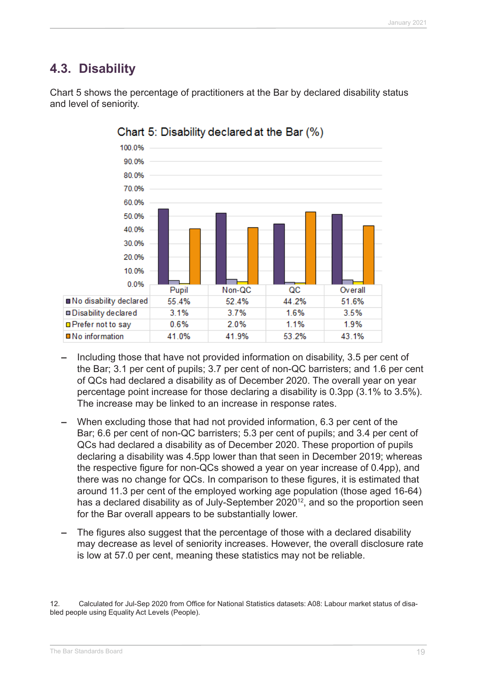# **4.3. Disability**



Chart 5 shows the percentage of practitioners at the Bar by declared disability status and level of seniority.

Chart 5: Disability declared at the Bar (%)

- **–** Including those that have not provided information on disability, 3.5 per cent of the Bar; 3.1 per cent of pupils; 3.7 per cent of non-QC barristers; and 1.6 per cent of QCs had declared a disability as of December 2020. The overall year on year percentage point increase for those declaring a disability is 0.3pp (3.1% to 3.5%). The increase may be linked to an increase in response rates.
- **–** When excluding those that had not provided information, 6.3 per cent of the Bar; 6.6 per cent of non-QC barristers; 5.3 per cent of pupils; and 3.4 per cent of QCs had declared a disability as of December 2020. These proportion of pupils declaring a disability was 4.5pp lower than that seen in December 2019; whereas the respective figure for non-QCs showed a year on year increase of 0.4pp), and there was no change for QCs. In comparison to these figures, it is estimated that around 11.3 per cent of the employed working age population (those aged 16-64) has a declared disability as of July-September 2020<sup>12</sup>, and so the proportion seen for the Bar overall appears to be substantially lower.
- **–** The figures also suggest that the percentage of those with a declared disability may decrease as level of seniority increases. However, the overall disclosure rate is low at 57.0 per cent, meaning these statistics may not be reliable.

<sup>12.</sup>  Calculated for Jul-Sep 2020 from Office for National Statistics datasets: A08: Labour market status of disabled people using Equality Act Levels (People).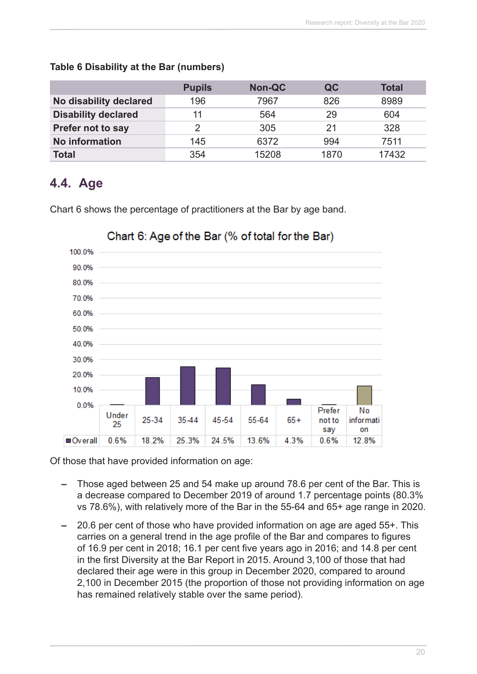|                            | <b>Pupils</b> | Non-QC | QC   | <b>Total</b> |
|----------------------------|---------------|--------|------|--------------|
| No disability declared     | 196           | 7967   | 826  | 8989         |
| <b>Disability declared</b> | 11            | 564    | 29   | 604          |
| Prefer not to say          |               | 305    | 21   | 328          |
| <b>No information</b>      | 145           | 6372   | 994  | 7511         |
| <b>Total</b>               | 354           | 15208  | 1870 | 17432        |

#### **Table 6 Disability at the Bar (numbers)**

### **4.4. Age**

Chart 6 shows the percentage of practitioners at the Bar by age band.



### Chart 6: Age of the Bar (% of total for the Bar)

Of those that have provided information on age:

- **–** Those aged between 25 and 54 make up around 78.6 per cent of the Bar. This is a decrease compared to December 2019 of around 1.7 percentage points (80.3% vs 78.6%), with relatively more of the Bar in the 55-64 and 65+ age range in 2020.
- **–** 20.6 per cent of those who have provided information on age are aged 55+. This carries on a general trend in the age profile of the Bar and compares to figures of 16.9 per cent in 2018; 16.1 per cent five years ago in 2016; and 14.8 per cent in the first Diversity at the Bar Report in 2015. Around 3,100 of those that had declared their age were in this group in December 2020, compared to around 2,100 in December 2015 (the proportion of those not providing information on age has remained relatively stable over the same period).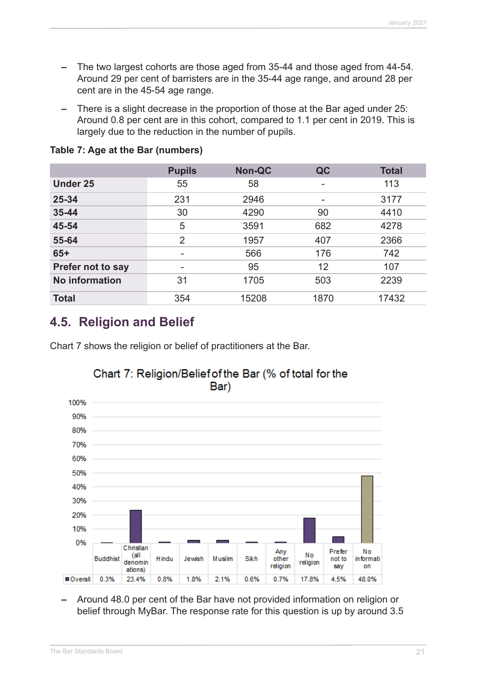- **–** The two largest cohorts are those aged from 35-44 and those aged from 44-54. Around 29 per cent of barristers are in the 35-44 age range, and around 28 per cent are in the 45-54 age range.
- **–** There is a slight decrease in the proportion of those at the Bar aged under 25: Around 0.8 per cent are in this cohort, compared to 1.1 per cent in 2019. This is largely due to the reduction in the number of pupils.

|                       | <b>Pupils</b>  | <b>Non-QC</b> | QC   | <b>Total</b> |
|-----------------------|----------------|---------------|------|--------------|
| <b>Under 25</b>       | 55             | 58            | -    | 113          |
| 25-34                 | 231            | 2946          |      | 3177         |
| 35-44                 | 30             | 4290          | 90   | 4410         |
| 45-54                 | 5              | 3591          | 682  | 4278         |
| 55-64                 | $\overline{2}$ | 1957          | 407  | 2366         |
| $65+$                 | -              | 566           | 176  | 742          |
| Prefer not to say     | ۰              | 95            | 12   | 107          |
| <b>No information</b> | 31             | 1705          | 503  | 2239         |
| <b>Total</b>          | 354            | 15208         | 1870 | 17432        |

#### **Table 7: Age at the Bar (numbers)**

### **4.5. Religion and Belief**

Chart 7 shows the religion or belief of practitioners at the Bar.



#### Chart 7: Religion/Belief of the Bar (% of total for the Bar)

**–** Around 48.0 per cent of the Bar have not provided information on religion or belief through MyBar. The response rate for this question is up by around 3.5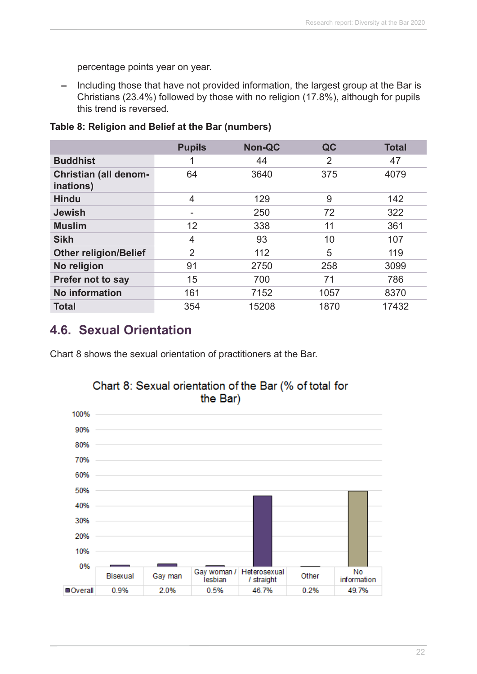percentage points year on year.

**–** Including those that have not provided information, the largest group at the Bar is Christians (23.4%) followed by those with no religion (17.8%), although for pupils this trend is reversed.

|                                           | <b>Pupils</b>  | <b>Non-QC</b> | QC             | <b>Total</b> |
|-------------------------------------------|----------------|---------------|----------------|--------------|
| <b>Buddhist</b>                           |                | 44            | $\overline{2}$ | 47           |
| <b>Christian (all denom-</b><br>inations) | 64             | 3640          | 375            | 4079         |
| <b>Hindu</b>                              | 4              | 129           | 9              | 142          |
| <b>Jewish</b>                             |                | 250           | 72             | 322          |
| <b>Muslim</b>                             | 12             | 338           | 11             | 361          |
| <b>Sikh</b>                               | 4              | 93            | 10             | 107          |
| <b>Other religion/Belief</b>              | $\overline{2}$ | 112           | 5              | 119          |
| No religion                               | 91             | 2750          | 258            | 3099         |
| <b>Prefer not to say</b>                  | 15             | 700           | 71             | 786          |
| <b>No information</b>                     | 161            | 7152          | 1057           | 8370         |
| <b>Total</b>                              | 354            | 15208         | 1870           | 17432        |

#### **Table 8: Religion and Belief at the Bar (numbers)**

# **4.6. Sexual Orientation**

Chart 8 shows the sexual orientation of practitioners at the Bar.



# Chart 8: Sexual orientation of the Bar (% of total for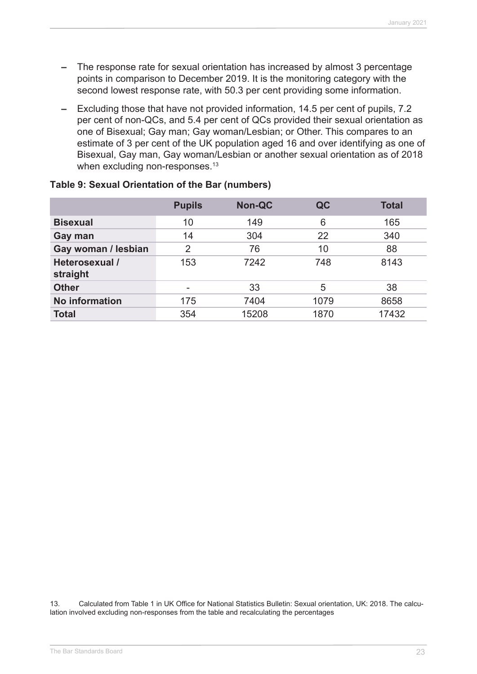- **–** The response rate for sexual orientation has increased by almost 3 percentage points in comparison to December 2019. It is the monitoring category with the second lowest response rate, with 50.3 per cent providing some information.
- **–** Excluding those that have not provided information, 14.5 per cent of pupils, 7.2 per cent of non-QCs, and 5.4 per cent of QCs provided their sexual orientation as one of Bisexual; Gay man; Gay woman/Lesbian; or Other. This compares to an estimate of 3 per cent of the UK population aged 16 and over identifying as one of Bisexual, Gay man, Gay woman/Lesbian or another sexual orientation as of 2018 when excluding non-responses.<sup>13</sup>

|                            | <b>Pupils</b>  | <b>Non-QC</b> | QC   | <b>Total</b> |
|----------------------------|----------------|---------------|------|--------------|
| <b>Bisexual</b>            | 10             | 149           | 6    | 165          |
| Gay man                    | 14             | 304           | 22   | 340          |
| Gay woman / lesbian        | $\overline{2}$ | 76            | 10   | 88           |
| Heterosexual /<br>straight | 153            | 7242          | 748  | 8143         |
| <b>Other</b>               | -              | 33            | 5    | 38           |
| <b>No information</b>      | 175            | 7404          | 1079 | 8658         |
| <b>Total</b>               | 354            | 15208         | 1870 | 17432        |

#### **Table 9: Sexual Orientation of the Bar (numbers)**

13. Calculated from Table 1 in UK Office for National Statistics Bulletin: Sexual orientation, UK: 2018. The calculation involved excluding non-responses from the table and recalculating the percentages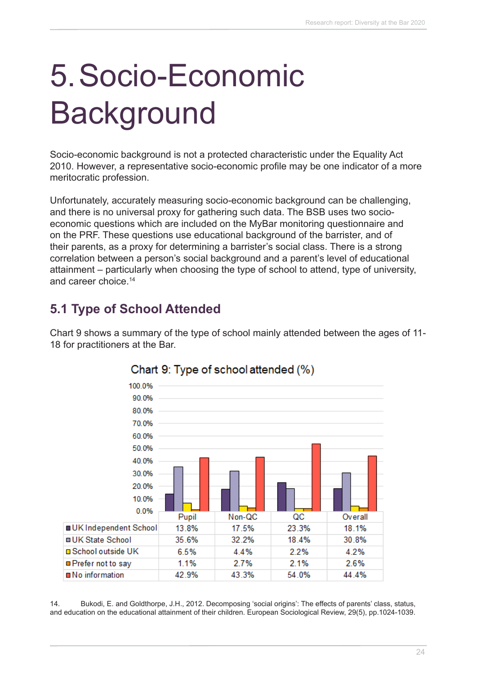# 5.Socio-Economic **Background**

Socio-economic background is not a protected characteristic under the Equality Act 2010. However, a representative socio-economic profile may be one indicator of a more meritocratic profession.

Unfortunately, accurately measuring socio-economic background can be challenging, and there is no universal proxy for gathering such data. The BSB uses two socioeconomic questions which are included on the MyBar monitoring questionnaire and on the PRF. These questions use educational background of the barrister, and of their parents, as a proxy for determining a barrister's social class. There is a strong correlation between a person's social background and a parent's level of educational attainment – particularly when choosing the type of school to attend, type of university, and career choice.<sup>14</sup>

# **5.1 Type of School Attended**

Chart 9 shows a summary of the type of school mainly attended between the ages of 11- 18 for practitioners at the Bar.



### Chart 9: Type of school attended (%)

14. Bukodi, E. and Goldthorpe, J.H., 2012. Decomposing 'social origins': The effects of parents' class, status, and education on the educational attainment of their children. European Sociological Review, 29(5), pp.1024-1039.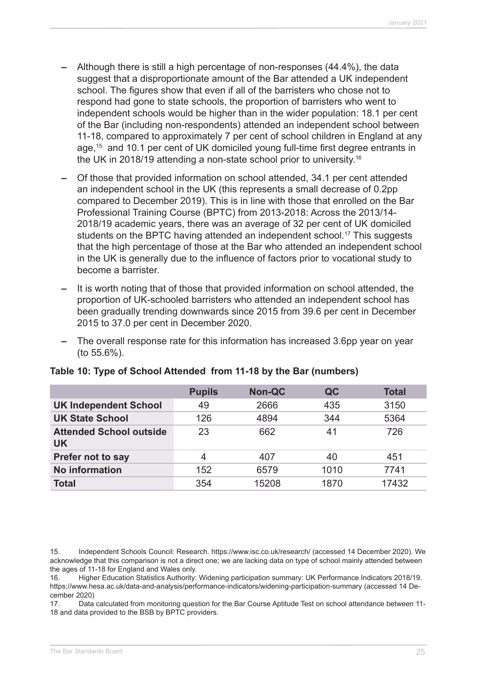- **–** Although there is still a high percentage of non-responses (44.4%), the data suggest that a disproportionate amount of the Bar attended a UK independent school. The figures show that even if all of the barristers who chose not to respond had gone to state schools, the proportion of barristers who went to independent schools would be higher than in the wider population: 18.1 per cent of the Bar (including non-respondents) attended an independent school between 11-18, compared to approximately 7 per cent of school children in England at any age,15 and 10.1 per cent of UK domiciled young full-time first degree entrants in the UK in 2018/19 attending a non-state school prior to university.16
- **–** Of those that provided information on school attended, 34.1 per cent attended an independent school in the UK (this represents a small decrease of 0.2pp compared to December 2019). This is in line with those that enrolled on the Bar Professional Training Course (BPTC) from 2013-2018: Across the 2013/14- 2018/19 academic years, there was an average of 32 per cent of UK domiciled students on the BPTC having attended an independent school.<sup>17</sup> This suggests that the high percentage of those at the Bar who attended an independent school in the UK is generally due to the influence of factors prior to vocational study to become a barrister.
- **–** It is worth noting that of those that provided information on school attended, the proportion of UK-schooled barristers who attended an independent school has been gradually trending downwards since 2015 from 39.6 per cent in December 2015 to 37.0 per cent in December 2020.
- **–** The overall response rate for this information has increased 3.6pp year on year (to 55.6%).

|                                             | <b>Pupils</b> | <b>Non-QC</b> | QC   | <b>Total</b> |
|---------------------------------------------|---------------|---------------|------|--------------|
| <b>UK Independent School</b>                | 49            | 2666          | 435  | 3150         |
| <b>UK State School</b>                      | 126           | 4894          | 344  | 5364         |
| <b>Attended School outside</b><br><b>UK</b> | 23            | 662           | 41   | 726          |
| Prefer not to say                           | 4             | 407           | 40   | 451          |
| <b>No information</b>                       | 152           | 6579          | 1010 | 7741         |
| <b>Total</b>                                | 354           | 15208         | 1870 | 17432        |

#### **Table 10: Type of School Attended from 11-18 by the Bar (numbers)**

15. Independent Schools Council: Research. https://www.isc.co.uk/research/ (accessed 14 December 2020). We acknowledge that this comparison is not a direct one; we are lacking data on type of school mainly attended between the ages of 11-18 for England and Wales only.

16. Higher Education Statistics Authority: Widening participation summary: UK Performance Indicators 2018/19. https://www.hesa.ac.uk/data-and-analysis/performance-indicators/widening-participation-summary (accessed 14 December 2020)

17. Data calculated from monitoring question for the Bar Course Aptitude Test on school attendance between 11- 18 and data provided to the BSB by BPTC providers.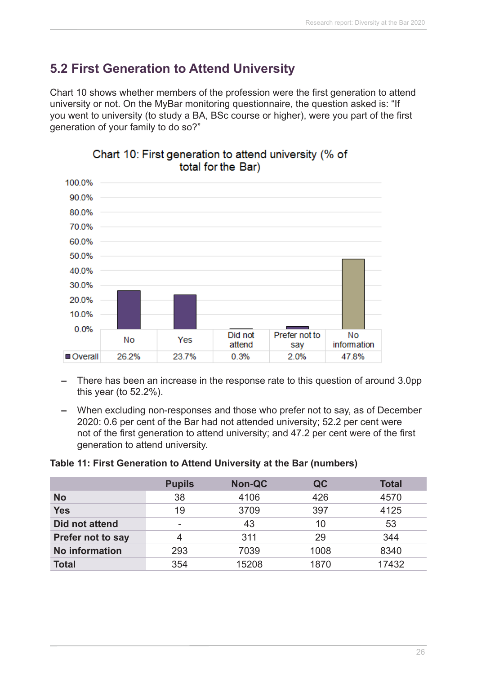# **5.2 First Generation to Attend University**

Chart 10 shows whether members of the profession were the first generation to attend university or not. On the MyBar monitoring questionnaire, the question asked is: "If you went to university (to study a BA, BSc course or higher), were you part of the first generation of your family to do so?"



#### Chart 10: First generation to attend university (% of total for the Bar)

- **–** There has been an increase in the response rate to this question of around 3.0pp this year (to 52.2%).
- **–** When excluding non-responses and those who prefer not to say, as of December 2020: 0.6 per cent of the Bar had not attended university; 52.2 per cent were not of the first generation to attend university; and 47.2 per cent were of the first generation to attend university.

#### **Table 11: First Generation to Attend University at the Bar (numbers)**

|                       | <b>Pupils</b> | <b>Non-QC</b> | QC   | <b>Total</b> |
|-----------------------|---------------|---------------|------|--------------|
| <b>No</b>             | 38            | 4106          | 426  | 4570         |
| <b>Yes</b>            | 19            | 3709          | 397  | 4125         |
| Did not attend        |               | 43            | 10   | 53           |
| Prefer not to say     |               | 311           | 29   | 344          |
| <b>No information</b> | 293           | 7039          | 1008 | 8340         |
| <b>Total</b>          | 354           | 15208         | 1870 | 17432        |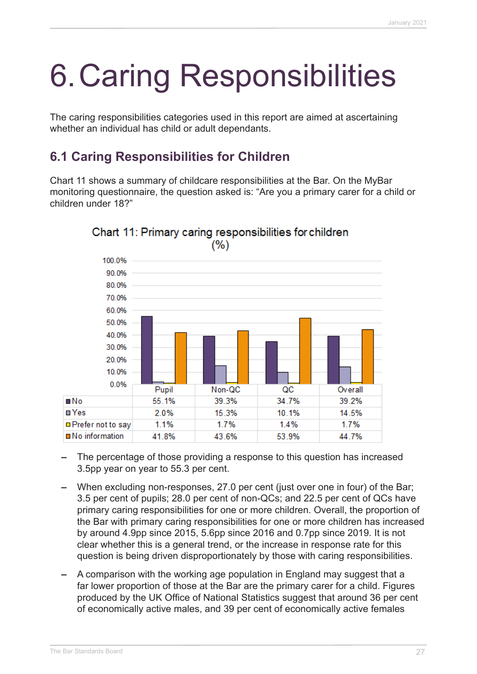# 6.Caring Responsibilities

The caring responsibilities categories used in this report are aimed at ascertaining whether an individual has child or adult dependants.

# **6.1 Caring Responsibilities for Children**

Chart 11 shows a summary of childcare responsibilities at the Bar. On the MyBar monitoring questionnaire, the question asked is: "Are you a primary carer for a child or children under 18?"



Chart 11: Primary caring responsibilities for children  $(%)$ 

- **–** The percentage of those providing a response to this question has increased 3.5pp year on year to 55.3 per cent.
- **–** When excluding non-responses, 27.0 per cent (just over one in four) of the Bar; 3.5 per cent of pupils; 28.0 per cent of non-QCs; and 22.5 per cent of QCs have primary caring responsibilities for one or more children. Overall, the proportion of the Bar with primary caring responsibilities for one or more children has increased by around 4.9pp since 2015, 5.6pp since 2016 and 0.7pp since 2019. It is not clear whether this is a general trend, or the increase in response rate for this question is being driven disproportionately by those with caring responsibilities.
- **–** A comparison with the working age population in England may suggest that a far lower proportion of those at the Bar are the primary carer for a child. Figures produced by the UK Office of National Statistics suggest that around 36 per cent of economically active males, and 39 per cent of economically active females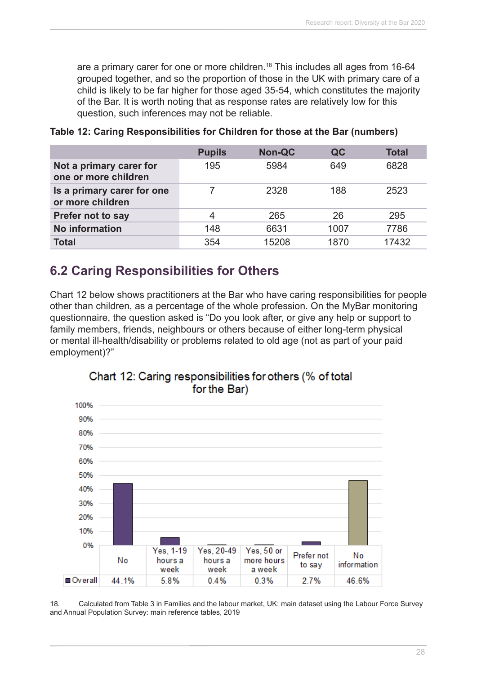are a primary carer for one or more children.<sup>18</sup> This includes all ages from 16-64 grouped together, and so the proportion of those in the UK with primary care of a child is likely to be far higher for those aged 35-54, which constitutes the majority of the Bar. It is worth noting that as response rates are relatively low for this question, such inferences may not be reliable.

|                                                 | <b>Pupils</b> | <b>Non-QC</b> | QC   | <b>Total</b> |
|-------------------------------------------------|---------------|---------------|------|--------------|
| Not a primary carer for<br>one or more children | 195           | 5984          | 649  | 6828         |
| Is a primary carer for one<br>or more children  |               | 2328          | 188  | 2523         |
| <b>Prefer not to say</b>                        | 4             | 265           | 26   | 295          |
| <b>No information</b>                           | 148           | 6631          | 1007 | 7786         |
| <b>Total</b>                                    | 354           | 15208         | 1870 | 17432        |

**Table 12: Caring Responsibilities for Children for those at the Bar (numbers)**

# **6.2 Caring Responsibilities for Others**

Chart 12 below shows practitioners at the Bar who have caring responsibilities for people other than children, as a percentage of the whole profession. On the MyBar monitoring questionnaire, the question asked is "Do you look after, or give any help or support to family members, friends, neighbours or others because of either long-term physical or mental ill-health/disability or problems related to old age (not as part of your paid employment)?"





18. Calculated from Table 3 in Families and the labour market, UK: main dataset using the Labour Force Survey and Annual Population Survey: main reference tables, 2019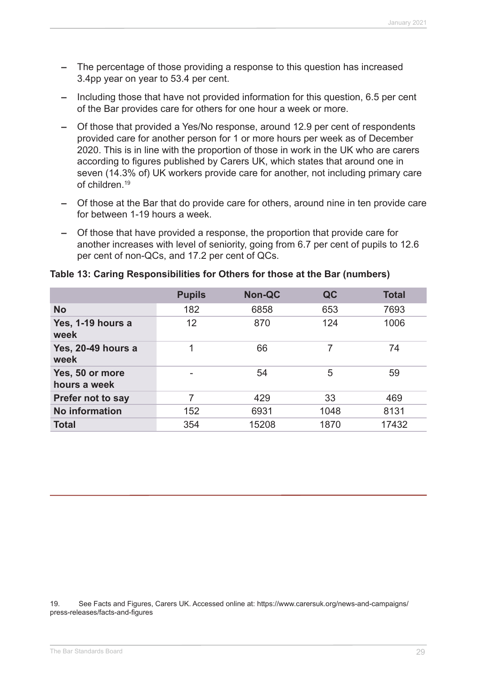- **–** The percentage of those providing a response to this question has increased 3.4pp year on year to 53.4 per cent.
- **–** Including those that have not provided information for this question, 6.5 per cent of the Bar provides care for others for one hour a week or more.
- **–** Of those that provided a Yes/No response, around 12.9 per cent of respondents provided care for another person for 1 or more hours per week as of December 2020. This is in line with the proportion of those in work in the UK who are carers according to figures published by Carers UK, which states that around one in seven (14.3% of) UK workers provide care for another, not including primary care of children.19
- **–** Of those at the Bar that do provide care for others, around nine in ten provide care for between 1-19 hours a week.
- **–** Of those that have provided a response, the proportion that provide care for another increases with level of seniority, going from 6.7 per cent of pupils to 12.6 per cent of non-QCs, and 17.2 per cent of QCs.

|  | Table 13: Caring Responsibilities for Others for those at the Bar (numbers) |  |  |  |
|--|-----------------------------------------------------------------------------|--|--|--|
|--|-----------------------------------------------------------------------------|--|--|--|

|                                 | <b>Pupils</b> | <b>Non-QC</b> | QC   | <b>Total</b> |
|---------------------------------|---------------|---------------|------|--------------|
| <b>No</b>                       | 182           | 6858          | 653  | 7693         |
| Yes, 1-19 hours a<br>week       | 12            | 870           | 124  | 1006         |
| Yes, 20-49 hours a<br>week      | 1             | 66            | 7    | 74           |
| Yes, 50 or more<br>hours a week |               | 54            | 5    | 59           |
| Prefer not to say               | 7             | 429           | 33   | 469          |
| <b>No information</b>           | 152           | 6931          | 1048 | 8131         |
| <b>Total</b>                    | 354           | 15208         | 1870 | 17432        |

19. See Facts and Figures, Carers UK. Accessed online at: https://www.carersuk.org/news-and-campaigns/ press-releases/facts-and-figures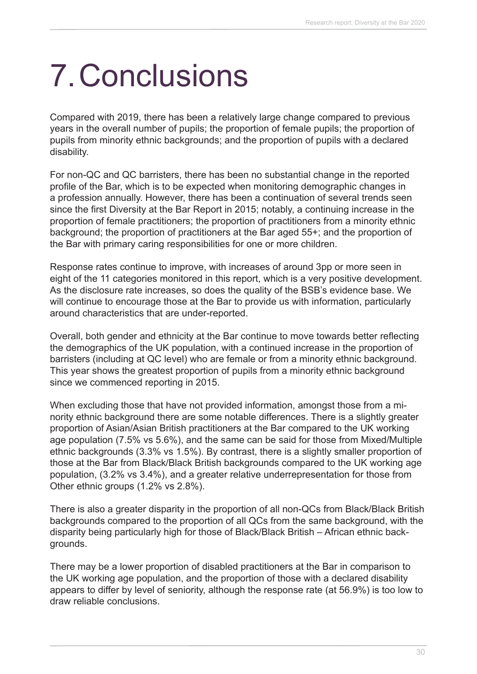# 7.Conclusions

Compared with 2019, there has been a relatively large change compared to previous years in the overall number of pupils; the proportion of female pupils; the proportion of pupils from minority ethnic backgrounds; and the proportion of pupils with a declared disability.

For non-QC and QC barristers, there has been no substantial change in the reported profile of the Bar, which is to be expected when monitoring demographic changes in a profession annually. However, there has been a continuation of several trends seen since the first Diversity at the Bar Report in 2015; notably, a continuing increase in the proportion of female practitioners; the proportion of practitioners from a minority ethnic background; the proportion of practitioners at the Bar aged 55+; and the proportion of the Bar with primary caring responsibilities for one or more children.

Response rates continue to improve, with increases of around 3pp or more seen in eight of the 11 categories monitored in this report, which is a very positive development. As the disclosure rate increases, so does the quality of the BSB's evidence base. We will continue to encourage those at the Bar to provide us with information, particularly around characteristics that are under-reported.

Overall, both gender and ethnicity at the Bar continue to move towards better reflecting the demographics of the UK population, with a continued increase in the proportion of barristers (including at QC level) who are female or from a minority ethnic background. This year shows the greatest proportion of pupils from a minority ethnic background since we commenced reporting in 2015.

When excluding those that have not provided information, amongst those from a minority ethnic background there are some notable differences. There is a slightly greater proportion of Asian/Asian British practitioners at the Bar compared to the UK working age population (7.5% vs 5.6%), and the same can be said for those from Mixed/Multiple ethnic backgrounds (3.3% vs 1.5%). By contrast, there is a slightly smaller proportion of those at the Bar from Black/Black British backgrounds compared to the UK working age population, (3.2% vs 3.4%), and a greater relative underrepresentation for those from Other ethnic groups (1.2% vs 2.8%).

There is also a greater disparity in the proportion of all non-QCs from Black/Black British backgrounds compared to the proportion of all QCs from the same background, with the disparity being particularly high for those of Black/Black British – African ethnic backgrounds.

There may be a lower proportion of disabled practitioners at the Bar in comparison to the UK working age population, and the proportion of those with a declared disability appears to differ by level of seniority, although the response rate (at 56.9%) is too low to draw reliable conclusions.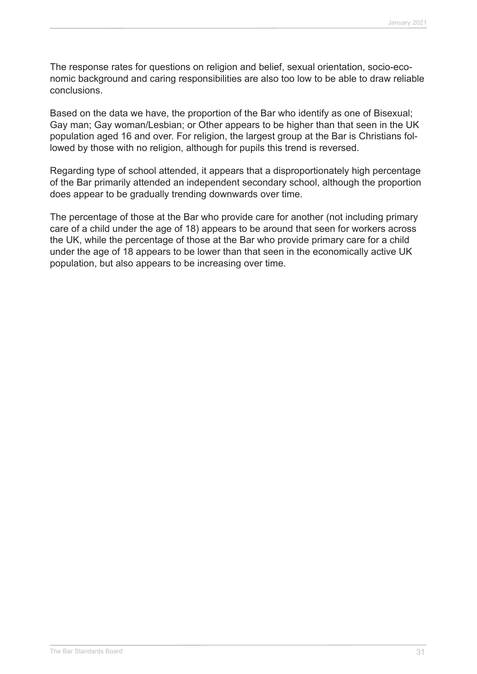The response rates for questions on religion and belief, sexual orientation, socio-economic background and caring responsibilities are also too low to be able to draw reliable conclusions.

Based on the data we have, the proportion of the Bar who identify as one of Bisexual; Gay man; Gay woman/Lesbian; or Other appears to be higher than that seen in the UK population aged 16 and over. For religion, the largest group at the Bar is Christians followed by those with no religion, although for pupils this trend is reversed.

Regarding type of school attended, it appears that a disproportionately high percentage of the Bar primarily attended an independent secondary school, although the proportion does appear to be gradually trending downwards over time.

The percentage of those at the Bar who provide care for another (not including primary care of a child under the age of 18) appears to be around that seen for workers across the UK, while the percentage of those at the Bar who provide primary care for a child under the age of 18 appears to be lower than that seen in the economically active UK population, but also appears to be increasing over time.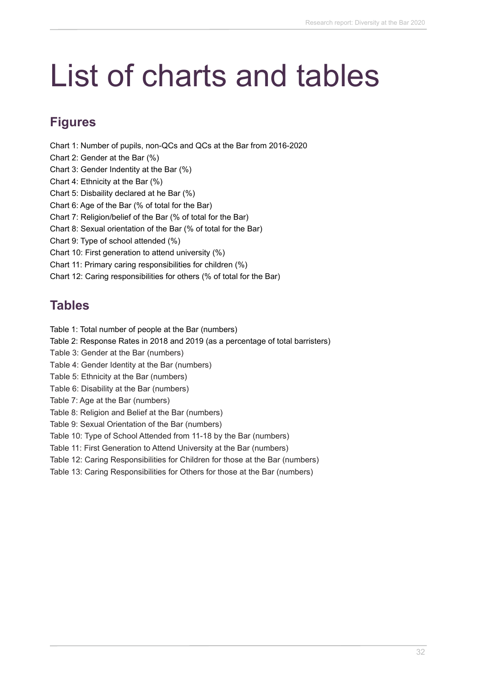# List of charts and tables

# **Figures**

Chart 1: Number of pupils, non-QCs and QCs at the Bar from 2016-2020

- Chart 2: Gender at the Bar (%)
- Chart 3: Gender Indentity at the Bar (%)
- Chart 4: Ethnicity at the Bar (%)
- Chart 5: Disbaility declared at he Bar (%)
- Chart 6: Age of the Bar (% of total for the Bar)
- Chart 7: Religion/belief of the Bar (% of total for the Bar)
- Chart 8: Sexual orientation of the Bar (% of total for the Bar)
- Chart 9: Type of school attended (%)
- Chart 10: First generation to attend university (%)
- Chart 11: Primary caring responsibilities for children (%)
- Chart 12: Caring responsibilities for others (% of total for the Bar)

# **Tables**

- Table 1: Total number of people at the Bar (numbers)
- Table 2: Response Rates in 2018 and 2019 (as a percentage of total barristers)
- Table 3: Gender at the Bar (numbers)
- Table 4: Gender Identity at the Bar (numbers)
- Table 5: Ethnicity at the Bar (numbers)
- Table 6: Disability at the Bar (numbers)
- Table 7: Age at the Bar (numbers)
- Table 8: Religion and Belief at the Bar (numbers)
- Table 9: Sexual Orientation of the Bar (numbers)

Table 10: Type of School Attended from 11-18 by the Bar (numbers)

Table 11: First Generation to Attend University at the Bar (numbers)

- Table 12: Caring Responsibilities for Children for those at the Bar (numbers)
- Table 13: Caring Responsibilities for Others for those at the Bar (numbers)